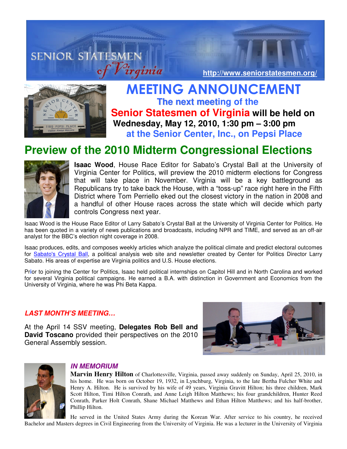# **SENIOR STATESMEN http://www.seniorstatesmen.org/**



 MEETING ANNOUNCEMENT **The next meeting of the Senior Statesmen of Virginia will be held on Wednesday, May 12, 2010, 1:30 pm – 3:00 pm at the Senior Center, Inc., on Pepsi Place** 

## **Preview of the 2010 Midterm Congressional Elections**



**Isaac Wood**, House Race Editor for Sabato's Crystal Ball at the University of Virginia Center for Politics, will preview the 2010 midterm elections for Congress that will take place in November. Virginia will be a key battleground as Republicans try to take back the House, with a "toss-up" race right here in the Fifth District where Tom Perriello eked out the closest victory in the nation in 2008 and a handful of other House races across the state which will decide which party controls Congress next year.

Isaac Wood is the House Race Editor of Larry Sabato's Crystal Ball at the University of Virginia Center for Politics. He has been quoted in a variety of news publications and broadcasts, including NPR and TIME, and served as an off-air analyst for the BBC's election night coverage in 2008.

Isaac produces, edits, and composes weekly articles which analyze the political climate and predict electoral outcomes for Sabato's Crystal Ball, a political analysis web site and newsletter created by Center for Politics Director Larry Sabato. His areas of expertise are Virginia politics and U.S. House elections.

Pr**i**or to joining the Center for Politics, Isaac held political internships on Capitol Hill and in North Carolina and worked for several Virginia political campaigns. He earned a B.A. with distinction in Government and Economics from the University of Virginia, where he was Phi Beta Kappa.

### **LAST MONTH'S MEETING…**

At the April 14 SSV meeting, **Delegates Rob Bell and David Toscano** provided their perspectives on the 2010 General Assembly session.





### **IN MEMORIUM**

**Marvin Henry Hilton** of Charlottesville, Virginia, passed away suddenly on Sunday, April 25, 2010, in his home. He was born on October 19, 1932, in Lynchburg, Virginia, to the late Bertha Fulcher White and Henry A. Hilton. He is survived by his wife of 49 years, Virginia Gravitt Hilton; his three children, Mark Scott Hilton, Timi Hilton Conrath, and Anne Leigh Hilton Matthews; his four grandchildren, Hunter Reed Conrath, Parker Holt Conrath, Shane Michael Matthews and Ethan Hilton Matthews; and his half-brother, Phillip Hilton.

He served in the United States Army during the Korean War. After service to his country, he received Bachelor and Masters degrees in Civil Engineering from the University of Virginia. He was a lecturer in the University of Virginia